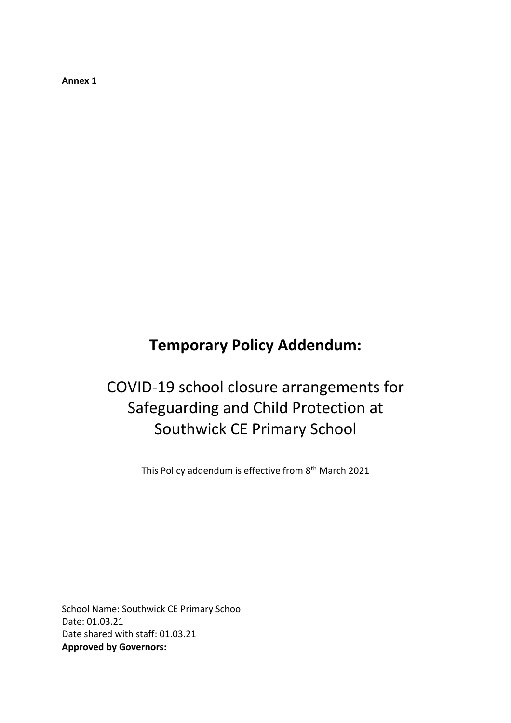**Annex 1**

# **Temporary Policy Addendum:**

# COVID-19 school closure arrangements for Safeguarding and Child Protection at Southwick CE Primary School

This Policy addendum is effective from 8<sup>th</sup> March 2021

School Name: Southwick CE Primary School Date: 01.03.21 Date shared with staff: 01.03.21 **Approved by Governors:**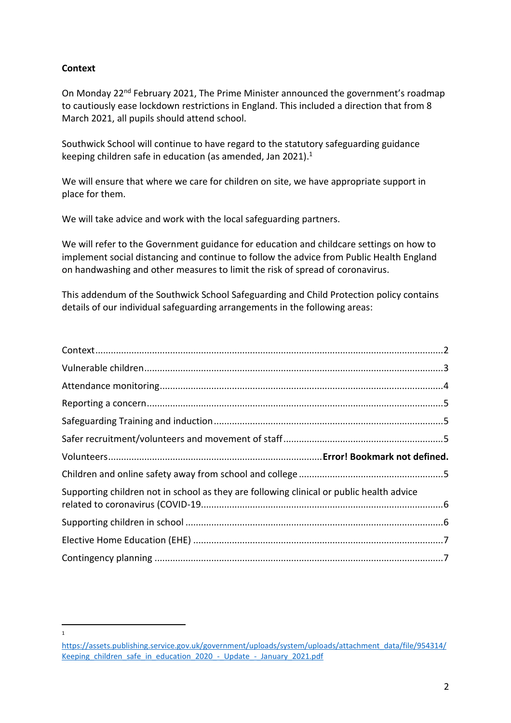# <span id="page-1-0"></span>**Context**

 $\overline{1}$ 

On Monday 22<sup>nd</sup> February 2021, The Prime Minister announced the government's roadmap to cautiously ease lockdown restrictions in England. This included a direction that from 8 March 2021, all pupils should attend school.

Southwick School will continue to have regard to the statutory safeguarding guidance keeping children safe in education (as amended, Jan 2021).<sup>1</sup>

We will ensure that where we care for children on site, we have appropriate support in place for them.

We will take advice and work with the local safeguarding partners.

We will refer to the Government guidance for education and childcare settings on how to implement social distancing and continue to follow the advice from Public Health England on handwashing and other measures to limit the risk of spread of coronavirus.

This addendum of the Southwick School Safeguarding and Child Protection policy contains details of our individual safeguarding arrangements in the following areas:

| Supporting children not in school as they are following clinical or public health advice |  |
|------------------------------------------------------------------------------------------|--|
|                                                                                          |  |
|                                                                                          |  |

[https://assets.publishing.service.gov.uk/government/uploads/system/uploads/attachment\\_data/file/954314/](https://assets.publishing.service.gov.uk/government/uploads/system/uploads/attachment_data/file/954314/Keeping_children_safe_in_education_2020_-_Update_-_January_2021.pdf) Keeping children safe in education 2020 - Update - January 2021.pdf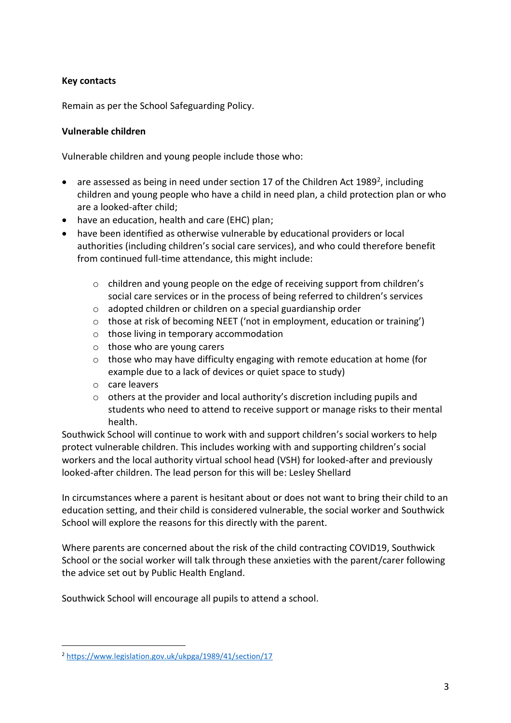# **Key contacts**

Remain as per the School Safeguarding Policy.

# <span id="page-2-0"></span>**Vulnerable children**

Vulnerable children and young people include those who:

- are assessed as being in need under section 17 of the Children Act 1989<sup>2</sup>, including children and young people who have a child in need plan, a child protection plan or who are a looked-after child;
- have an education, health and care (EHC) plan;
- have been identified as otherwise vulnerable by educational providers or local authorities (including children's social care services), and who could therefore benefit from continued full-time attendance, this might include:
	- o children and young people on the edge of receiving support from children's social care services or in the process of being referred to children's services
	- o adopted children or children on a special guardianship order
	- o those at risk of becoming NEET ('not in employment, education or training')
	- o those living in temporary accommodation
	- o those who are young carers
	- $\circ$  those who may have difficulty engaging with remote education at home (for example due to a lack of devices or quiet space to study)
	- o care leavers
	- $\circ$  others at the provider and local authority's discretion including pupils and students who need to attend to receive support or manage risks to their mental health.

Southwick School will continue to work with and support children's social workers to help protect vulnerable children. This includes working with and supporting children's social workers and the local authority virtual school head (VSH) for looked-after and previously looked-after children. The lead person for this will be: Lesley Shellard

In circumstances where a parent is hesitant about or does not want to bring their child to an education setting, and their child is considered vulnerable, the social worker and Southwick School will explore the reasons for this directly with the parent.

Where parents are concerned about the risk of the child contracting COVID19, Southwick School or the social worker will talk through these anxieties with the parent/carer following the advice set out by Public Health England.

Southwick School will encourage all pupils to attend a school.

 $\overline{a}$ 

<sup>2</sup> <https://www.legislation.gov.uk/ukpga/1989/41/section/17>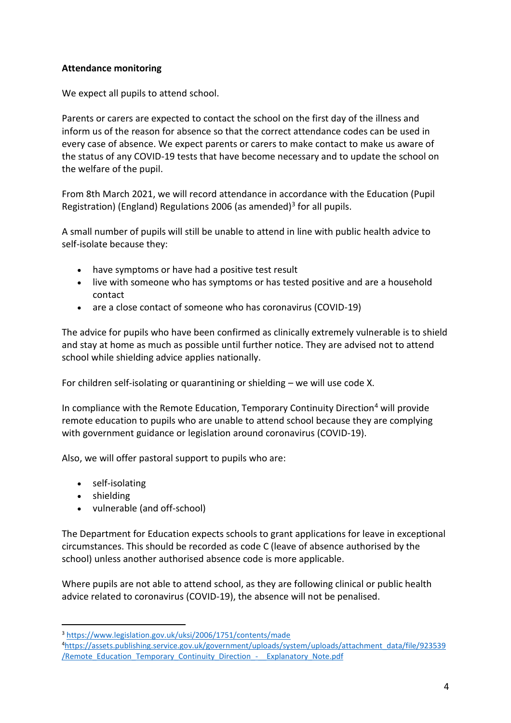# <span id="page-3-0"></span>**Attendance monitoring**

We expect all pupils to attend school.

Parents or carers are expected to contact the school on the first day of the illness and inform us of the reason for absence so that the correct attendance codes can be used in every case of absence. We expect parents or carers to make contact to make us aware of the status of any COVID-19 tests that have become necessary and to update the school on the welfare of the pupil.

From 8th March 2021, we will record attendance in accordance with the Education (Pupil Registration) (England) Regulations 2006 (as amended)<sup>3</sup> for all pupils.

A small number of pupils will still be unable to attend in line with public health advice to self-isolate because they:

- have symptoms or have had a positive test result
- live with someone who has symptoms or has tested positive and are a household contact
- are a close contact of someone who has coronavirus (COVID-19)

The advice for pupils who have been confirmed as clinically extremely vulnerable is to shield and stay at home as much as possible until further notice. They are advised not to attend school while shielding advice applies nationally.

For children self-isolating or quarantining or shielding – we will use code X.

In compliance with the Remote Education, Temporary Continuity Direction<sup>4</sup> will provide remote education to pupils who are unable to attend school because they are complying with government guidance or legislation around coronavirus (COVID-19).

Also, we will offer pastoral support to pupils who are:

- self-isolating
- shielding

 $\overline{a}$ 

vulnerable (and off-school)

The Department for Education expects schools to grant applications for leave in exceptional circumstances. This should be recorded as code C (leave of absence authorised by the school) unless another authorised absence code is more applicable.

Where pupils are not able to attend school, as they are following clinical or public health advice related to coronavirus (COVID-19), the absence will not be penalised.

<sup>3</sup> <https://www.legislation.gov.uk/uksi/2006/1751/contents/made>

<sup>4</sup>[https://assets.publishing.service.gov.uk/government/uploads/system/uploads/attachment\\_data/file/923539](https://assets.publishing.service.gov.uk/government/uploads/system/uploads/attachment_data/file/923539/Remote_Education_Temporary_Continuity_Direction_-__Explanatory_Note.pdf) /Remote Education Temporary Continuity Direction - Explanatory Note.pdf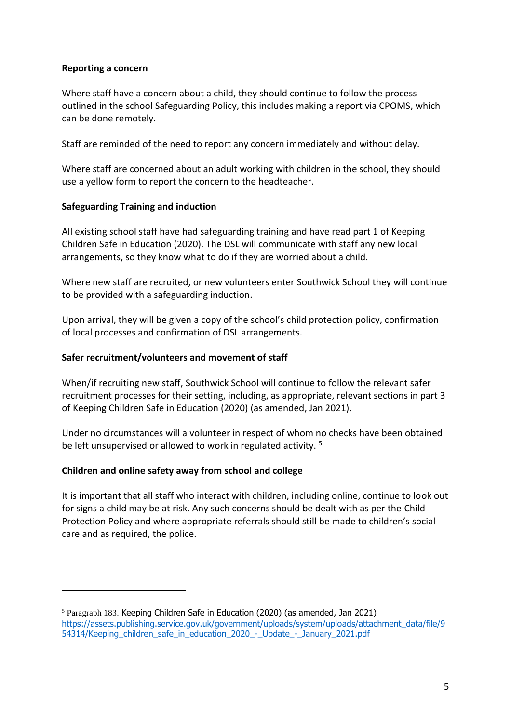# <span id="page-4-0"></span>**Reporting a concern**

Where staff have a concern about a child, they should continue to follow the process outlined in the school Safeguarding Policy, this includes making a report via CPOMS, which can be done remotely.

Staff are reminded of the need to report any concern immediately and without delay.

Where staff are concerned about an adult working with children in the school, they should use a yellow form to report the concern to the headteacher.

#### <span id="page-4-1"></span>**Safeguarding Training and induction**

All existing school staff have had safeguarding training and have read part 1 of Keeping Children Safe in Education (2020). The DSL will communicate with staff any new local arrangements, so they know what to do if they are worried about a child.

Where new staff are recruited, or new volunteers enter Southwick School they will continue to be provided with a safeguarding induction.

Upon arrival, they will be given a copy of the school's child protection policy, confirmation of local processes and confirmation of DSL arrangements.

### <span id="page-4-2"></span>**Safer recruitment/volunteers and movement of staff**

When/if recruiting new staff, Southwick School will continue to follow the relevant safer recruitment processes for their setting, including, as appropriate, relevant sections in part 3 of Keeping Children Safe in Education (2020) (as amended, Jan 2021).

Under no circumstances will a volunteer in respect of whom no checks have been obtained be left unsupervised or allowed to work in regulated activity.<sup>5</sup>

# <span id="page-4-3"></span>**Children and online safety away from school and college**

 $\overline{a}$ 

It is important that all staff who interact with children, including online, continue to look out for signs a child may be at risk. Any such concerns should be dealt with as per the Child Protection Policy and where appropriate referrals should still be made to children's social care and as required, the police.

<sup>5</sup> Paragraph 183. Keeping Children Safe in Education (2020) (as amended, Jan 2021) [https://assets.publishing.service.gov.uk/government/uploads/system/uploads/attachment\\_data/file/9](https://assets.publishing.service.gov.uk/government/uploads/system/uploads/attachment_data/file/954314/Keeping_children_safe_in_education_2020_-_Update_-_January_2021.pdf) [54314/Keeping\\_children\\_safe\\_in\\_education\\_2020\\_-\\_Update\\_-\\_January\\_2021.pdf](https://assets.publishing.service.gov.uk/government/uploads/system/uploads/attachment_data/file/954314/Keeping_children_safe_in_education_2020_-_Update_-_January_2021.pdf)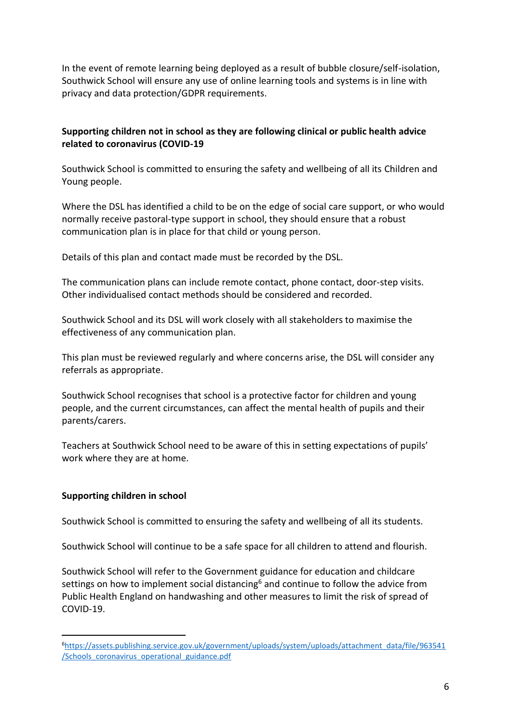In the event of remote learning being deployed as a result of bubble closure/self-isolation, Southwick School will ensure any use of online learning tools and systems is in line with privacy and data protection/GDPR requirements.

# <span id="page-5-0"></span>**Supporting children not in school as they are following clinical or public health advice related to coronavirus (COVID-19**

Southwick School is committed to ensuring the safety and wellbeing of all its Children and Young people.

Where the DSL has identified a child to be on the edge of social care support, or who would normally receive pastoral-type support in school, they should ensure that a robust communication plan is in place for that child or young person.

Details of this plan and contact made must be recorded by the DSL.

The communication plans can include remote contact, phone contact, door-step visits. Other individualised contact methods should be considered and recorded.

Southwick School and its DSL will work closely with all stakeholders to maximise the effectiveness of any communication plan.

This plan must be reviewed regularly and where concerns arise, the DSL will consider any referrals as appropriate.

Southwick School recognises that school is a protective factor for children and young people, and the current circumstances, can affect the mental health of pupils and their parents/carers.

Teachers at Southwick School need to be aware of this in setting expectations of pupils' work where they are at home.

# <span id="page-5-1"></span>**Supporting children in school**

 $\overline{a}$ 

Southwick School is committed to ensuring the safety and wellbeing of all its students.

Southwick School will continue to be a safe space for all children to attend and flourish.

Southwick School will refer to the Government guidance for education and childcare settings on how to implement social distancing<sup>6</sup> and continue to follow the advice from Public Health England on handwashing and other measures to limit the risk of spread of COVID-19.

<sup>6</sup>[https://assets.publishing.service.gov.uk/government/uploads/system/uploads/attachment\\_data/file/963541](https://assets.publishing.service.gov.uk/government/uploads/system/uploads/attachment_data/file/963541/Schools_coronavirus_operational_guidance.pdf) [/Schools\\_coronavirus\\_operational\\_guidance.pdf](https://assets.publishing.service.gov.uk/government/uploads/system/uploads/attachment_data/file/963541/Schools_coronavirus_operational_guidance.pdf)